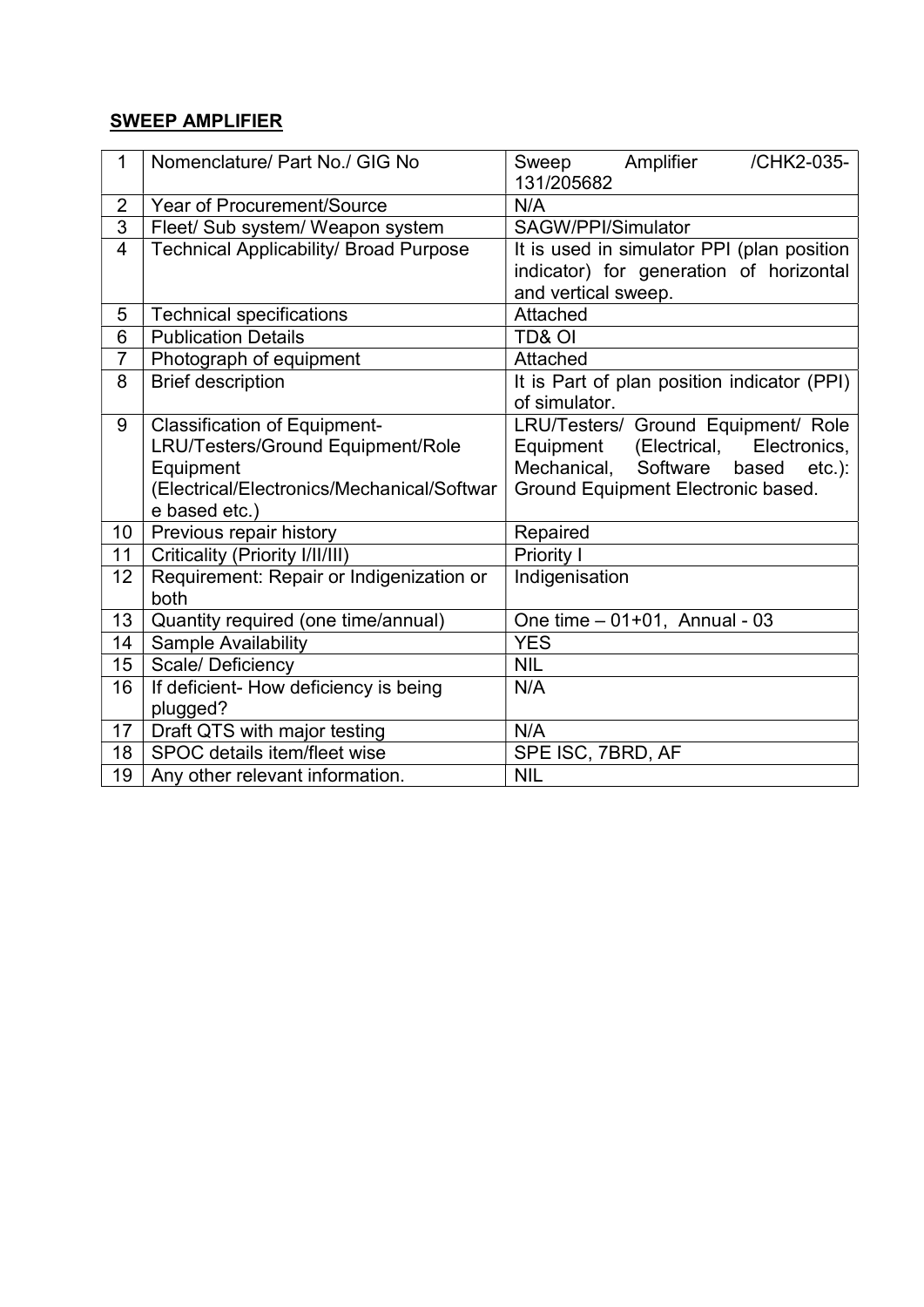## SWEEP AMPLIFIER

| 1               | Nomenclature/ Part No./ GIG No                | Amplifier<br>/CHK2-035-<br>Sweep<br>131/205682 |
|-----------------|-----------------------------------------------|------------------------------------------------|
| $\overline{2}$  | <b>Year of Procurement/Source</b>             | N/A                                            |
| 3               | Fleet/ Sub system/ Weapon system              | SAGW/PPI/Simulator                             |
| $\overline{4}$  | <b>Technical Applicability/ Broad Purpose</b> | It is used in simulator PPI (plan position     |
|                 |                                               | indicator) for generation of horizontal        |
|                 |                                               | and vertical sweep.                            |
| 5               | <b>Technical specifications</b>               | Attached                                       |
| 6               | <b>Publication Details</b>                    | TD& OI                                         |
| $\overline{7}$  | Photograph of equipment                       | Attached                                       |
| 8               | <b>Brief description</b>                      | It is Part of plan position indicator (PPI)    |
|                 |                                               | of simulator.                                  |
| 9               | <b>Classification of Equipment-</b>           | LRU/Testers/ Ground Equipment/ Role            |
|                 | LRU/Testers/Ground Equipment/Role             | (Electrical,<br>Equipment<br>Electronics,      |
|                 | Equipment                                     | Mechanical, Software<br>based etc.):           |
|                 | (Electrical/Electronics/Mechanical/Softwar    | Ground Equipment Electronic based.             |
|                 | e based etc.)                                 |                                                |
| 10              | Previous repair history                       | Repaired                                       |
| 11              | Criticality (Priority I/II/III)               | <b>Priority I</b>                              |
| 12 <sup>2</sup> | Requirement: Repair or Indigenization or      | Indigenisation                                 |
|                 | both                                          |                                                |
| 13              | Quantity required (one time/annual)           | One time - 01+01, Annual - 03                  |
| 14              | Sample Availability                           | <b>YES</b>                                     |
| 15              | Scale/Deficiency                              | <b>NIL</b>                                     |
| 16              | If deficient- How deficiency is being         | N/A                                            |
|                 | plugged?                                      |                                                |
| 17              | Draft QTS with major testing                  | N/A                                            |
| 18              | SPOC details item/fleet wise                  | SPE ISC, 7BRD, AF                              |
| 19              | Any other relevant information.               | <b>NIL</b>                                     |